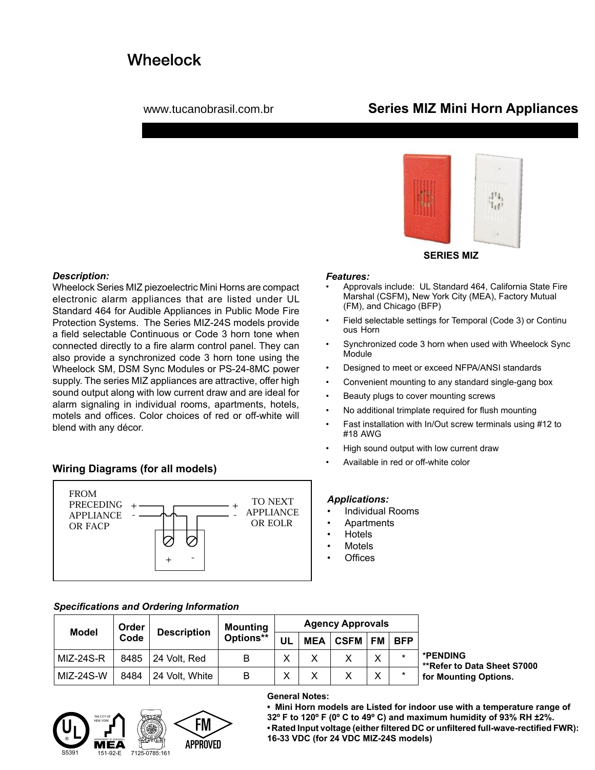# **Wheelock**

## www.tucanobrasil.com.br **Series MIZ Mini Horn Appliances**



## **SERIES MIZ**

#### *Features:*

- Approvals include: UL Standard 464, California State Fire Marshal (CSFM)**,** New York City (MEA), Factory Mutual (FM), and Chicago (BFP)
- Field selectable settings for Temporal (Code 3) or Continu ous Horn
- Synchronized code 3 horn when used with Wheelock Sync Module
- Designed to meet or exceed NFPA/ANSI standards
- Convenient mounting to any standard single-gang box
- Beauty plugs to cover mounting screws
- No additional trimplate required for flush mounting
- Fast installation with In/Out screw terminals using #12 to #18 AWG
- High sound output with low current draw
- Available in red or off-white color

## *Applications:*

- Individual Rooms
- Apartments
- Hotels
- **Motels**
- **Offices**

## *Description:*

Wheelock Series MIZ piezoelectric Mini Horns are compact electronic alarm appliances that are listed under UL Standard 464 for Audible Appliances in Public Mode Fire Protection Systems. The Series MIZ-24S models provide a field selectable Continuous or Code 3 horn tone when connected directly to a fire alarm control panel. They can also provide a synchronized code 3 horn tone using the Wheelock SM, DSM Sync Modules or PS-24-8MC power supply. The series MIZ appliances are attractive, offer high sound output along with low current draw and are ideal for alarm signaling in individual rooms, apartments, hotels, motels and offices. Color choices of red or off-white will blend with any décor.

## **Wiring Diagrams (for all models)**



## *Specifications and Ordering Information*

| <b>Model</b> | Order<br>Code | <b>Description</b> | <b>Mounting</b><br>Options** | <b>Agency Approvals</b> |            |             |              |            |                                                |
|--------------|---------------|--------------------|------------------------------|-------------------------|------------|-------------|--------------|------------|------------------------------------------------|
|              |               |                    |                              | UL                      | <b>MEA</b> | <b>CSFM</b> | <b>FM</b>    | <b>BFP</b> |                                                |
| MIZ-24S-R    | 8485          | 24 Volt, Red       | B                            |                         | ∨<br>⋏     |             | $\checkmark$ | $\star$    | *PENDING<br><b>**Refer to Data Sheet S7000</b> |
| MIZ-24S-W    | 8484          | 24 Volt, White     | B                            |                         | v<br>⋏     |             | $\checkmark$ | $\star$    | for Mounting Options.                          |



### **General Notes:**

**• Mini Horn models are Listed for indoor use with a temperature range of 32º F to 120º F (0º C to 49º C) and maximum humidity of 93% RH ±2%. • Rated Input voltage (either filtered DC or unfiltered full-wave-rectified FWR): 16-33 VDC (for 24 VDC MIZ-24S models)**